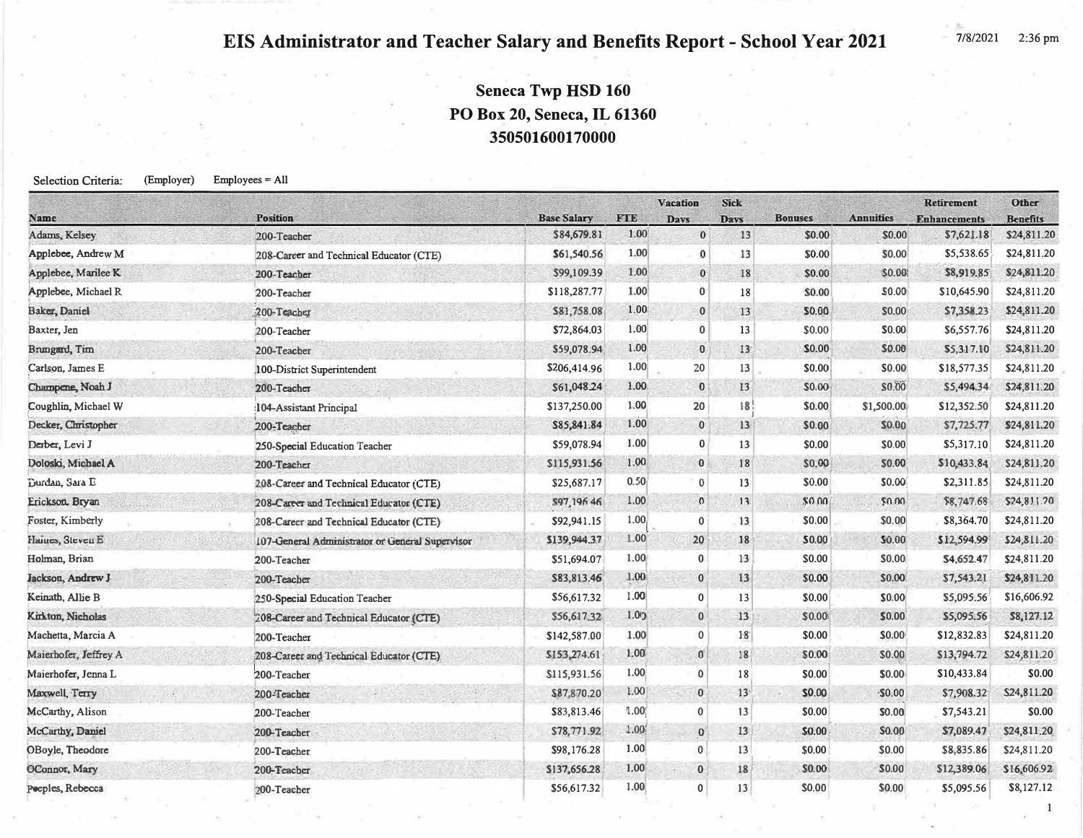## EIS Administrator and Teacher Salary and Benefits Report - School Year 2021

2:36 pm 7/8/2021

## **Seneca Twp HSD 160** PO Box 20, Seneca, IL 61360 350501600170000

Selection Criteria: (Employer)

 $Employes = All$ 

|                       |                                                 |                                   |                    | <b>Vacation</b>         | <b>Sick</b>       |                          |                            | <b>Retirement</b>                 | Other                          |
|-----------------------|-------------------------------------------------|-----------------------------------|--------------------|-------------------------|-------------------|--------------------------|----------------------------|-----------------------------------|--------------------------------|
| Name<br>Adams, Kelsey | <b>Position</b>                                 | <b>Base Salary</b><br>\$84,679.81 | <b>FTE</b><br>1.00 | <b>Davs</b><br>$\bf{0}$ | <b>Davs</b><br>13 | <b>Bonuses</b><br>\$0.00 | <b>Annuities</b><br>\$0.00 | <b>Enhancements</b><br>\$7,621.18 | <b>Benefits</b><br>\$24,811.20 |
| Applebee, Andrew M    | 200-Teacher                                     | \$61,540.56                       | 1.00               | $\bf{0}$                | 13                | \$0.00                   | \$0.00                     | \$5,538.65                        | \$24,811.20                    |
|                       | 208-Career and Technical Educator (CTE)         | \$99,109.39                       | 1.00               | $\mathbf{0}$            |                   | \$0.00                   |                            |                                   | \$24,811.20                    |
| Applebee, Marilee K   | 200-Teacher                                     |                                   | 1.00               |                         | 18                |                          | \$0.00                     | \$8,919.85                        |                                |
| Applebee, Michael R   | 200-Teacher                                     | \$118,287.77                      |                    | $\bf{0}$                | 18                | \$0.00                   | \$0.00                     | \$10,645.90                       | \$24,811.20                    |
| Baker, Daniel         | 200-Teacher                                     | \$81,758.08                       | 1.00               | $\bf{0}$                | 13                | \$0.00                   | \$0.00                     | \$7,358.23                        | \$24,811.20                    |
| Baxter, Jen           | 200-Teacher                                     | \$72,864.03                       | 1.00               | $\bf{0}$                | 13                | \$0.00                   | \$0.00                     | \$6,557.76                        | \$24,811.20                    |
| Brungard, Tim         | 200-Teacher                                     | \$59,078.94                       | 1.00               | $\bf{0}$                | 13                | \$0.00                   | \$0.00                     | \$5,317.10                        | \$24,811.20                    |
| Carlson, James E      | 100-District Superintendent                     | \$206,414.96                      | 1.00               | 20                      | 13                | \$0.00                   | \$0.00                     | \$18,577.35                       | \$24,811.20                    |
| Champene, Noah J      | 200-Teacher                                     | \$61,048.24                       | 1.00               | $\mathbf{0}$            | 13                | \$0.00                   | \$0.00                     | \$5,494.34                        | \$24,811.20                    |
| Coughlin, Michael W   | 104-Assistant Principal                         | \$137,250.00                      | 1.00               | 20                      | 18                | \$0.00                   | \$1,500.00                 | \$12,352.50                       | \$24,811.20                    |
| Decker, Christopher   | 200-Teacher                                     | \$85,841.84                       | 1.00               | $\mathbf{0}$            | 13                | \$0.00                   | \$0.00                     | \$7,725.77                        | \$24,811.20                    |
| Derber, Levi J        | 250-Special Education Teacher                   | \$59,078.94                       | 1.00               | $\bf{0}$                | 13                | \$0.00                   | \$0.00                     | \$5,317.10                        | \$24,811.20                    |
| Doloski, Michael A    | 200-Teacher                                     | \$115,931.56                      | 1.00               | $\bf{0}$                | 18                | \$0.00                   | \$0.00                     | \$10,433.84                       | \$24,811.20                    |
| Durdan, Sara E        | 208-Career and Technical Educator (CTE)         | \$25,687.17                       | 0.50               | $\mathbf{0}$            | 13                | \$0.00                   | \$0.00                     | \$2,311.85                        | \$24,811.20                    |
| Erickson, Bryan       | 208-Career and Technical Educator (CTE)         | \$97,196.46                       | 1.00               | $\theta$                | 13                | <b>\$0.00</b>            | \$0.00                     | \$8,747.68                        | \$24,811.20                    |
| Foster, Kimberly      | 208-Career and Technical Educator (CTE)         | \$92,941.15                       | 1.00               | $\bf{0}$                | 13                | \$0.00                   | \$0.00                     | \$8,364.70                        | \$24,811.20                    |
| Haines, 31even E.     | 107-General Administrator or General Supervisor | \$139,944.37                      | 1.00               | 20                      | 18                | 50.00                    | 30.00                      | \$12,594.99                       | \$24,811.20                    |
| Holman, Brian         | 200-Teacher                                     | \$51,694.07                       | 1.00               | $\bf{0}$                | 13                | \$0.00                   | <b>SO.00</b>               | \$4,652.47                        | \$24,811.20                    |
| Jackson, Andrew J     | 200-Teacher                                     | \$83,813.46                       | 1.00               | $\mathbf{0}$            | 13                | \$0.00                   | \$0.00                     | \$7,543.21                        | \$24,811.20                    |
| Keinath, Allie B      | 250-Special Education Teacher                   | \$56,617.32                       | 1.00               | $\bf{0}$                | 13                | \$0.00                   | \$0.00                     | \$5,095.56                        | \$16,606.92                    |
| Kirkton, Nicholas     | 208-Career and Technical Educator (CTE)         | \$56,617.32                       | 1.00               | $\bf{0}$                | 13                | \$0.00:                  | \$0.00                     | \$5,095.56                        | \$8,127.12                     |
| Machetta, Marcia A    | 200-Teacher                                     | \$142,587.00                      | 1.00               | $\mathbf{0}$            | 18 <sup>°</sup>   | \$0.00                   | <b>SO.00</b>               | \$12,832.83                       | \$24,811.20                    |
| Maierhofer, Jeffrey A | 208-Career and Technical Educator (CTE)         | \$153,274.61                      | 1.00               | $\mathbf{0}$            | 18                | \$0.00                   | \$0.00                     | \$13,794.72                       | \$24,811.20                    |
| Maierhofer, Jenna L   | 200-Teacher                                     | \$115,931.56                      | 1.00               | $\mathbf{0}$            | 18                | \$0.00                   | \$0.00                     | \$10,433.84                       | \$0.00                         |
| Maxwell, Terry        | 200-Teacher                                     | \$87,870.20                       | 1.00               | $\mathbf{0}$            | 13 <sup>°</sup>   | \$0,00                   | $-50.00$                   | \$7,908.32                        | \$24,811.20                    |
| McCarthy, Alison      | 200-Teacher                                     | \$83,813.46                       | 1.00               | 0                       | 13                | \$0.00                   | \$0.00                     | \$7,543.21                        | \$0.00                         |
| McCarthy, Daniel      | 200-Teacher                                     | \$78,771.92                       | $1.00^{3}$         | $\bf{0}$                | 13                | \$0.00                   | <b>SO.00</b>               | \$7,089.47                        | \$24,811.20                    |
| OBoyle, Theodore      | 200-Teacher                                     | \$98,176.28                       | 1.00               | $\bf{0}$                | 13                | \$0.00                   | \$0.00                     | \$8,835.86                        | \$24,811.20                    |
| OConnor, Mary         | 200-Teacher                                     | \$137,656.28                      | 1.00               | $\mathbf{0}$            | 18                | \$0.00                   | \$0.00                     | \$12,389.06                       | \$16,606.92                    |
| Peeples, Rebecca      | 200-Teacher                                     | \$56,617.32                       | 1.00               | 0                       | 13                | \$0.00                   | \$0.00                     | \$5,095.56                        | \$8,127.12                     |

 $\mathbf{1}$